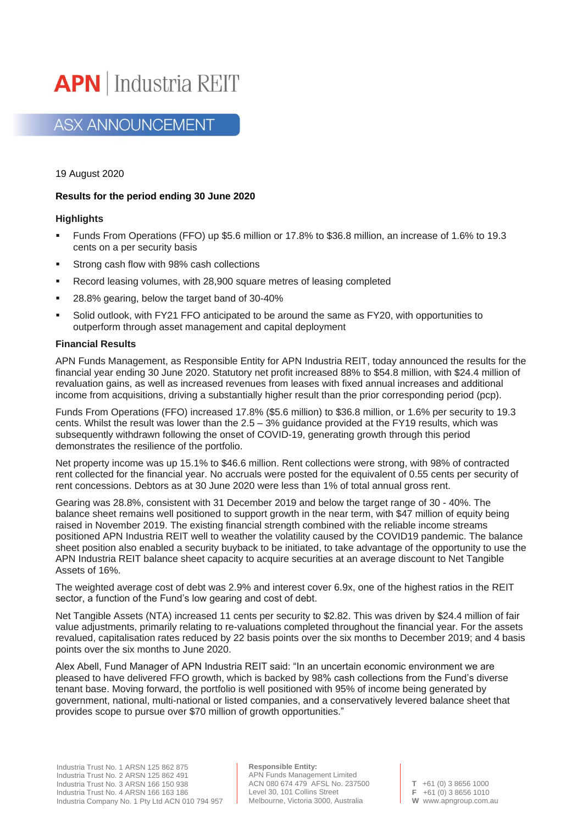

# **ASX ANNOUNCEMENT**

19 August 2020

# **Results for the period ending 30 June 2020**

#### **Highlights**

- Funds From Operations (FFO) up \$5.6 million or 17.8% to \$36.8 million, an increase of 1.6% to 19.3 cents on a per security basis
- Strong cash flow with 98% cash collections
- Record leasing volumes, with 28,900 square metres of leasing completed
- 28.8% gearing, below the target band of 30-40%
- Solid outlook, with FY21 FFO anticipated to be around the same as FY20, with opportunities to outperform through asset management and capital deployment

#### **Financial Results**

APN Funds Management, as Responsible Entity for APN Industria REIT, today announced the results for the financial year ending 30 June 2020. Statutory net profit increased 88% to \$54.8 million, with \$24.4 million of revaluation gains, as well as increased revenues from leases with fixed annual increases and additional income from acquisitions, driving a substantially higher result than the prior corresponding period (pcp).

Funds From Operations (FFO) increased 17.8% (\$5.6 million) to \$36.8 million, or 1.6% per security to 19.3 cents. Whilst the result was lower than the 2.5 – 3% guidance provided at the FY19 results, which was subsequently withdrawn following the onset of COVID-19, generating growth through this period demonstrates the resilience of the portfolio.

Net property income was up 15.1% to \$46.6 million. Rent collections were strong, with 98% of contracted rent collected for the financial year. No accruals were posted for the equivalent of 0.55 cents per security of rent concessions. Debtors as at 30 June 2020 were less than 1% of total annual gross rent.

Gearing was 28.8%, consistent with 31 December 2019 and below the target range of 30 - 40%. The balance sheet remains well positioned to support growth in the near term, with \$47 million of equity being raised in November 2019. The existing financial strength combined with the reliable income streams positioned APN Industria REIT well to weather the volatility caused by the COVID19 pandemic. The balance sheet position also enabled a security buyback to be initiated, to take advantage of the opportunity to use the APN Industria REIT balance sheet capacity to acquire securities at an average discount to Net Tangible Assets of 16%.

The weighted average cost of debt was 2.9% and interest cover 6.9x, one of the highest ratios in the REIT sector, a function of the Fund's low gearing and cost of debt.

Net Tangible Assets (NTA) increased 11 cents per security to \$2.82. This was driven by \$24.4 million of fair value adjustments, primarily relating to re-valuations completed throughout the financial year. For the assets revalued, capitalisation rates reduced by 22 basis points over the six months to December 2019; and 4 basis points over the six months to June 2020.

Alex Abell, Fund Manager of APN Industria REIT said: "In an uncertain economic environment we are pleased to have delivered FFO growth, which is backed by 98% cash collections from the Fund's diverse tenant base. Moving forward, the portfolio is well positioned with 95% of income being generated by government, national, multi-national or listed companies, and a conservatively levered balance sheet that provides scope to pursue over \$70 million of growth opportunities."

**Responsible Entity:** APN Funds Management Limited ACN 080 674 479 AFSL No. 237500 Level 30, 101 Collins Street Melbourne, Victoria 3000, Australia

**T** +61 (0) 3 8656 1000 **F** +61 (0) 3 8656 1010 **W** www.apngroup.com.au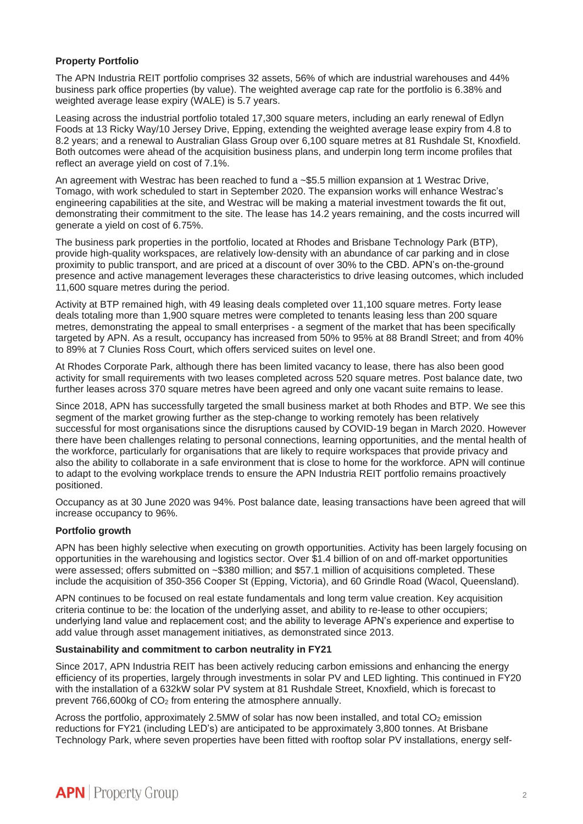# **Property Portfolio**

The APN Industria REIT portfolio comprises 32 assets, 56% of which are industrial warehouses and 44% business park office properties (by value). The weighted average cap rate for the portfolio is 6.38% and weighted average lease expiry (WALE) is 5.7 years.

Leasing across the industrial portfolio totaled 17,300 square meters, including an early renewal of Edlyn Foods at 13 Ricky Way/10 Jersey Drive, Epping, extending the weighted average lease expiry from 4.8 to 8.2 years; and a renewal to Australian Glass Group over 6,100 square metres at 81 Rushdale St, Knoxfield. Both outcomes were ahead of the acquisition business plans, and underpin long term income profiles that reflect an average yield on cost of 7.1%.

An agreement with Westrac has been reached to fund a ~\$5.5 million expansion at 1 Westrac Drive, Tomago, with work scheduled to start in September 2020. The expansion works will enhance Westrac's engineering capabilities at the site, and Westrac will be making a material investment towards the fit out, demonstrating their commitment to the site. The lease has 14.2 years remaining, and the costs incurred will generate a yield on cost of 6.75%.

The business park properties in the portfolio, located at Rhodes and Brisbane Technology Park (BTP), provide high-quality workspaces, are relatively low-density with an abundance of car parking and in close proximity to public transport, and are priced at a discount of over 30% to the CBD. APN's on-the-ground presence and active management leverages these characteristics to drive leasing outcomes, which included 11,600 square metres during the period.

Activity at BTP remained high, with 49 leasing deals completed over 11,100 square metres. Forty lease deals totaling more than 1,900 square metres were completed to tenants leasing less than 200 square metres, demonstrating the appeal to small enterprises - a segment of the market that has been specifically targeted by APN. As a result, occupancy has increased from 50% to 95% at 88 Brandl Street; and from 40% to 89% at 7 Clunies Ross Court, which offers serviced suites on level one.

At Rhodes Corporate Park, although there has been limited vacancy to lease, there has also been good activity for small requirements with two leases completed across 520 square metres. Post balance date, two further leases across 370 square metres have been agreed and only one vacant suite remains to lease.

Since 2018, APN has successfully targeted the small business market at both Rhodes and BTP. We see this segment of the market growing further as the step-change to working remotely has been relatively successful for most organisations since the disruptions caused by COVID-19 began in March 2020. However there have been challenges relating to personal connections, learning opportunities, and the mental health of the workforce, particularly for organisations that are likely to require workspaces that provide privacy and also the ability to collaborate in a safe environment that is close to home for the workforce. APN will continue to adapt to the evolving workplace trends to ensure the APN Industria REIT portfolio remains proactively positioned.

Occupancy as at 30 June 2020 was 94%. Post balance date, leasing transactions have been agreed that will increase occupancy to 96%.

# **Portfolio growth**

APN has been highly selective when executing on growth opportunities. Activity has been largely focusing on opportunities in the warehousing and logistics sector. Over \$1.4 billion of on and off-market opportunities were assessed; offers submitted on ~\$380 million; and \$57.1 million of acquisitions completed. These include the acquisition of 350-356 Cooper St (Epping, Victoria), and 60 Grindle Road (Wacol, Queensland).

APN continues to be focused on real estate fundamentals and long term value creation. Key acquisition criteria continue to be: the location of the underlying asset, and ability to re-lease to other occupiers; underlying land value and replacement cost; and the ability to leverage APN's experience and expertise to add value through asset management initiatives, as demonstrated since 2013.

# **Sustainability and commitment to carbon neutrality in FY21**

Since 2017, APN Industria REIT has been actively reducing carbon emissions and enhancing the energy efficiency of its properties, largely through investments in solar PV and LED lighting. This continued in FY20 with the installation of a 632kW solar PV system at 81 Rushdale Street, Knoxfield, which is forecast to prevent 766,600kg of CO<sup>2</sup> from entering the atmosphere annually.

Across the portfolio, approximately 2.5MW of solar has now been installed, and total  $CO<sub>2</sub>$  emission reductions for FY21 (including LED's) are anticipated to be approximately 3,800 tonnes. At Brisbane Technology Park, where seven properties have been fitted with rooftop solar PV installations, energy self-